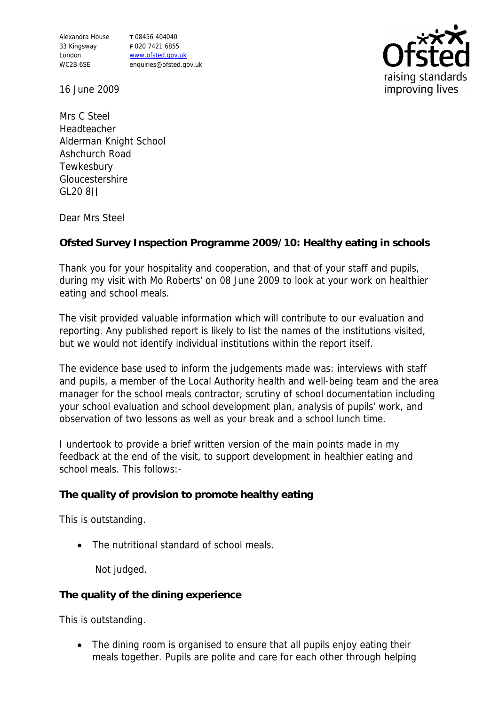Alexandra House 33 Kingsway London WC2B 6SE

**T** 08456 404040 **F** 020 7421 6855 www.ofsted.gov.uk enquiries@ofsted.gov.uk



16 June 2009

Mrs C Steel Headteacher Alderman Knight School Ashchurch Road **Tewkesbury** Gloucestershire GL20 8JJ

Dear Mrs Steel

**Ofsted Survey Inspection Programme 2009/10: Healthy eating in schools**

Thank you for your hospitality and cooperation, and that of your staff and pupils, during my visit with Mo Roberts' on 08 June 2009 to look at your work on healthier eating and school meals.

The visit provided valuable information which will contribute to our evaluation and reporting. Any published report is likely to list the names of the institutions visited, but we would not identify individual institutions within the report itself.

The evidence base used to inform the judgements made was: interviews with staff and pupils, a member of the Local Authority health and well-being team and the area manager for the school meals contractor, scrutiny of school documentation including your school evaluation and school development plan, analysis of pupils' work, and observation of two lessons as well as your break and a school lunch time.

I undertook to provide a brief written version of the main points made in my feedback at the end of the visit, to support development in healthier eating and school meals. This follows:-

**The quality of provision to promote healthy eating** 

This is outstanding.

• The nutritional standard of school meals.

Not judged.

**The quality of the dining experience** 

This is outstanding.

• The dining room is organised to ensure that all pupils enjoy eating their meals together. Pupils are polite and care for each other through helping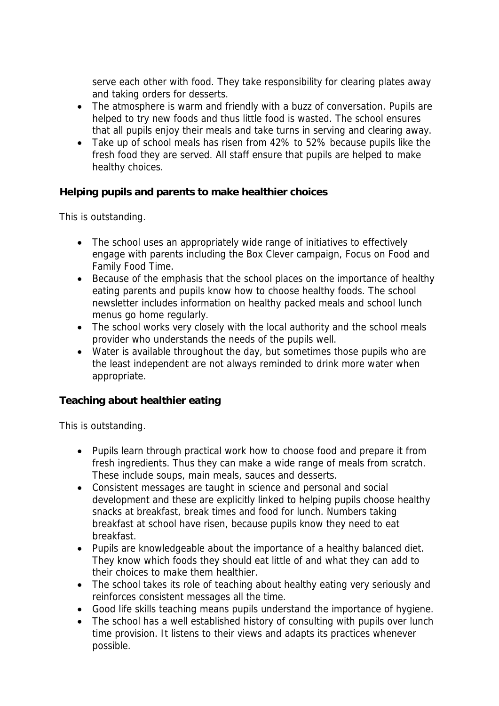serve each other with food. They take responsibility for clearing plates away and taking orders for desserts.

- The atmosphere is warm and friendly with a buzz of conversation. Pupils are helped to try new foods and thus little food is wasted. The school ensures that all pupils enjoy their meals and take turns in serving and clearing away.
- Take up of school meals has risen from 42% to 52% because pupils like the fresh food they are served. All staff ensure that pupils are helped to make healthy choices.

**Helping pupils and parents to make healthier choices** 

This is outstanding.

- The school uses an appropriately wide range of initiatives to effectively engage with parents including the Box Clever campaign, Focus on Food and Family Food Time.
- Because of the emphasis that the school places on the importance of healthy eating parents and pupils know how to choose healthy foods. The school newsletter includes information on healthy packed meals and school lunch menus go home regularly.
- The school works very closely with the local authority and the school meals provider who understands the needs of the pupils well.
- Water is available throughout the day, but sometimes those pupils who are the least independent are not always reminded to drink more water when appropriate.

**Teaching about healthier eating** 

This is outstanding.

- Pupils learn through practical work how to choose food and prepare it from fresh ingredients. Thus they can make a wide range of meals from scratch. These include soups, main meals, sauces and desserts.
- Consistent messages are taught in science and personal and social development and these are explicitly linked to helping pupils choose healthy snacks at breakfast, break times and food for lunch. Numbers taking breakfast at school have risen, because pupils know they need to eat breakfast.
- Pupils are knowledgeable about the importance of a healthy balanced diet. They know which foods they should eat little of and what they can add to their choices to make them healthier.
- The school takes its role of teaching about healthy eating very seriously and reinforces consistent messages all the time.
- Good life skills teaching means pupils understand the importance of hygiene.
- The school has a well established history of consulting with pupils over lunch time provision. It listens to their views and adapts its practices whenever possible.